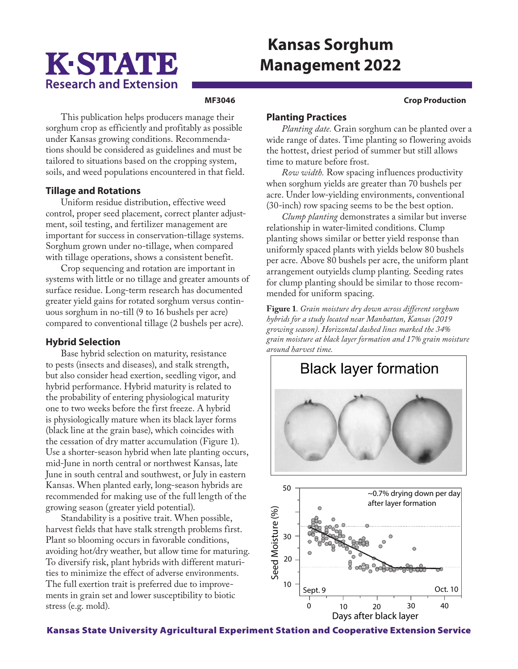# K-STATE **Research and Extension**

## **Kansas Sorghum Management 2022**

#### **MF3046 Crop Production**

This publication helps producers manage their sorghum crop as efficiently and profitably as possible under Kansas growing conditions. Recommendations should be considered as guidelines and must be tailored to situations based on the cropping system, soils, and weed populations encountered in that field.

### **Tillage and Rotations**

Uniform residue distribution, effective weed control, proper seed placement, correct planter adjustment, soil testing, and fertilizer management are important for success in conservation-tillage systems. Sorghum grown under no-tillage, when compared with tillage operations, shows a consistent benefit.

Crop sequencing and rotation are important in systems with little or no tillage and greater amounts of surface residue. Long-term research has documented greater yield gains for rotated sorghum versus continuous sorghum in no-till (9 to 16 bushels per acre) compared to conventional tillage (2 bushels per acre).

### **Hybrid Selection**

Base hybrid selection on maturity, resistance to pests (insects and diseases), and stalk strength, but also consider head exertion, seedling vigor, and hybrid performance. Hybrid maturity is related to the probability of entering physiological maturity one to two weeks before the first freeze. A hybrid is physiologically mature when its black layer forms (black line at the grain base), which coincides with the cessation of dry matter accumulation (Figure 1). Use a shorter-season hybrid when late planting occurs, mid-June in north central or northwest Kansas, late June in south central and southwest, or July in eastern Kansas. When planted early, long-season hybrids are recommended for making use of the full length of the growing season (greater yield potential).

Standability is a positive trait. When possible, harvest fields that have stalk strength problems first. Plant so blooming occurs in favorable conditions, avoiding hot/dry weather, but allow time for maturing. To diversify risk, plant hybrids with different maturities to minimize the effect of adverse environments. The full exertion trait is preferred due to improvements in grain set and lower susceptibility to biotic stress (e.g. mold).

### **Planting Practices**

*Planting date.* Grain sorghum can be planted over a wide range of dates. Time planting so flowering avoids the hottest, driest period of summer but still allows time to mature before frost.

*Row width.* Row spacing influences productivity when sorghum yields are greater than 70 bushels per acre. Under low-yielding environments, conventional (30-inch) row spacing seems to be the best option.

*Clump planting* demonstrates a similar but inverse relationship in water-limited conditions. Clump planting shows similar or better yield response than uniformly spaced plants with yields below 80 bushels per acre. Above 80 bushels per acre, the uniform plant arrangement outyields clump planting. Seeding rates for clump planting should be similar to those recommended for uniform spacing.

**Figure 1***. Grain moisture dry down across different sorghum hybrids for a study located near Manhattan, Kansas (2019 growing season). Horizontal dashed lines marked the 34% grain moisture at black layer formation and 17% grain moisture around harvest time.* 



Kansas State University Agricultural Experiment Station and Cooperative Extension Service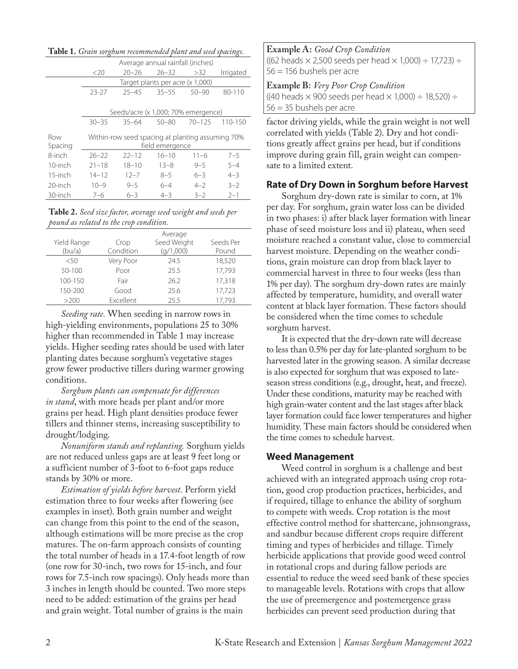**Table 1.** *Grain sorghum recommended plant and seed spacings.*

| <u>ົ</u> ດ"    |                                                                     |                                     |                                  |            |             |  |  |
|----------------|---------------------------------------------------------------------|-------------------------------------|----------------------------------|------------|-------------|--|--|
|                | Average annual rainfall (inches)                                    |                                     |                                  |            |             |  |  |
|                | <20                                                                 | $20 - 26$                           | $26 - 32$                        | >32        | Irrigated   |  |  |
|                |                                                                     |                                     | Target plants per acre (x 1,000) |            |             |  |  |
|                | $23 - 27$                                                           | $25 - 45$                           | $35 - 55$                        | $50 - 90$  | 80-110      |  |  |
|                |                                                                     |                                     |                                  |            |             |  |  |
|                |                                                                     | Seeds/acre (x 1,000; 70% emergence) |                                  |            |             |  |  |
|                | $30 - 35$                                                           | $35 - 64$                           | $50 - 80$                        | $70 - 125$ | $110 - 150$ |  |  |
| Row<br>Spacing | Within-row seed spacing at planting assuming 70%<br>field emergence |                                     |                                  |            |             |  |  |
| 8-inch         | $26 - 22$                                                           | $22 - 12$                           | $16 - 10$                        | $11 - 6$   | $7 - 5$     |  |  |
| 10-inch        | $21 - 18$                                                           | $18 - 10$                           | $13 - 8$                         | $9 - 5$    | $5 - 4$     |  |  |
| $15$ -inch     | $14 - 12$                                                           | $12 - 7$                            | $8 - 5$                          | $6 - 3$    | $4 - 3$     |  |  |
| 20-inch        | $10 - 9$                                                            | $9 - 5$                             | $6 - 4$                          | $4 - 2$    | $3 - 2$     |  |  |
| 30-inch        | $7 - 6$                                                             | $6 - 3$                             | $4 - 3$                          | $3 - 2$    | $2 - 1$     |  |  |

**Table 2.** *Seed size factor, average seed weight and seeds per pound as related to the crop condition.*

|             |           | Average     |           |
|-------------|-----------|-------------|-----------|
| Yield Range | Crop      | Seed Weight | Seeds Per |
| (bu/a)      | Condition | (q/1,000)   | Pound     |
| < 50        | Very Poor | 24.5        | 18,520    |
| $50 - 100$  | Poor      | 255         | 17.793    |
| 100-150     | Fair      | 26.2        | 17,318    |
| 150-200     | Good      | 25.6        | 17,723    |
| >200        | Excellent | 25.5        | 17,793    |

*Seeding rate.* When seeding in narrow rows in high-yielding environments, populations 25 to 30% higher than recommended in Table 1 may increase yields. Higher seeding rates should be used with later planting dates because sorghum's vegetative stages grow fewer productive tillers during warmer growing conditions.

*Sorghum plants can compensate for differences in stand*, with more heads per plant and/or more grains per head. High plant densities produce fewer tillers and thinner stems, increasing susceptibility to drought/lodging.

*Nonuniform stands and replanting.* Sorghum yields are not reduced unless gaps are at least 9 feet long or a sufficient number of 3-foot to 6-foot gaps reduce stands by 30% or more.

*Estimation of yields before harvest.* Perform yield estimation three to four weeks after flowering (see examples in inset). Both grain number and weight can change from this point to the end of the season, although estimations will be more precise as the crop matures. The on-farm approach consists of counting the total number of heads in a 17.4-foot length of row (one row for 30-inch, two rows for 15-inch, and four rows for 7.5-inch row spacings). Only heads more than 3 inches in length should be counted. Two more steps need to be added: estimation of the grains per head and grain weight. Total number of grains is the main

**Example A:** *Good Crop Condition* ((62 heads  $\times$  2,500 seeds per head  $\times$  1,000)  $\div$  17,723)  $\div$ 56 = 156 bushels per acre

**Example B:** *Very Poor Crop Condition* ((40 heads  $\times$  900 seeds per head  $\times$  1,000)  $\div$  18,520)  $\div$ 56 = 35 bushels per acre

factor driving yields, while the grain weight is not well correlated with yields (Table 2). Dry and hot conditions greatly affect grains per head, but if conditions improve during grain fill, grain weight can compensate to a limited extent.

#### **Rate of Dry Down in Sorghum before Harvest**

Sorghum dry-down rate is similar to corn, at 1% per day. For sorghum, grain water loss can be divided in two phases: i) after black layer formation with linear phase of seed moisture loss and ii) plateau, when seed moisture reached a constant value, close to commercial harvest moisture. Depending on the weather conditions, grain moisture can drop from black layer to commercial harvest in three to four weeks (less than 1% per day). The sorghum dry-down rates are mainly affected by temperature, humidity, and overall water content at black layer formation. These factors should be considered when the time comes to schedule sorghum harvest.

It is expected that the dry-down rate will decrease to less than 0.5% per day for late-planted sorghum to be harvested later in the growing season. A similar decrease is also expected for sorghum that was exposed to lateseason stress conditions (e.g., drought, heat, and freeze). Under these conditions, maturity may be reached with high grain-water content and the last stages after black layer formation could face lower temperatures and higher humidity. These main factors should be considered when the time comes to schedule harvest.

#### **Weed Management**

Weed control in sorghum is a challenge and best achieved with an integrated approach using crop rotation, good crop production practices, herbicides, and if required, tillage to enhance the ability of sorghum to compete with weeds. Crop rotation is the most effective control method for shattercane, johnsongrass, and sandbur because different crops require different timing and types of herbicides and tillage. Timely herbicide applications that provide good weed control in rotational crops and during fallow periods are essential to reduce the weed seed bank of these species to manageable levels. Rotations with crops that allow the use of preemergence and postemergence grass herbicides can prevent seed production during that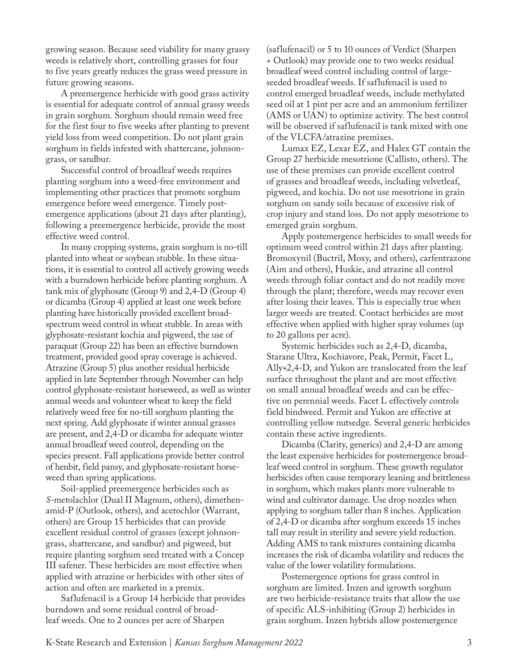growing season. Because seed viability for many grassy weeds is relatively short, controlling grasses for four to five years greatly reduces the grass weed pressure in future growing seasons.

A preemergence herbicide with good grass activity is essential for adequate control of annual grassy weeds in grain sorghum*.* Sorghum should remain weed free for the first four to five weeks after planting to prevent yield loss from weed competition. Do not plant grain sorghum in fields infested with shattercane, johnsongrass, or sandbur.

Successful control of broadleaf weeds requires planting sorghum into a weed-free environment and implementing other practices that promote sorghum emergence before weed emergence. Timely postemergence applications (about 21 days after planting), following a preemergence herbicide, provide the most effective weed control.

In many cropping systems, grain sorghum is no-till planted into wheat or soybean stubble. In these situations, it is essential to control all actively growing weeds with a burndown herbicide before planting sorghum. A tank mix of glyphosate (Group 9) and 2,4-D (Group 4) or dicamba (Group 4) applied at least one week before planting have historically provided excellent broadspectrum weed control in wheat stubble. In areas with glyphosate-resistant kochia and pigweed, the use of paraquat (Group 22) has been an effective burndown treatment, provided good spray coverage is achieved. Atrazine (Group 5) plus another residual herbicide applied in late September through November can help control glyphosate-resistant horseweed, as well as winter annual weeds and volunteer wheat to keep the field relatively weed free for no-till sorghum planting the next spring. Add glyphosate if winter annual grasses are present, and 2,4-D or dicamba for adequate winter annual broadleaf weed control, depending on the species present. Fall applications provide better control of henbit, field pansy, and glyphosate-resistant horseweed than spring applications.

Soil-applied preemergence herbicides such as *S*-metolachlor (Dual II Magnum, others), dimethenamid-P (Outlook, others), and acetochlor (Warrant, others) are Group 15 herbicides that can provide excellent residual control of grasses (except johnsongrass, shattercane, and sandbur) and pigweed, but require planting sorghum seed treated with a Concep III safener. These herbicides are most effective when applied with atrazine or herbicides with other sites of action and often are marketed in a premix.

Saflufenacil is a Group 14 herbicide that provides burndown and some residual control of broadleaf weeds. One to 2 ounces per acre of Sharpen

(saflufenacil) or 5 to 10 ounces of Verdict (Sharpen + Outlook) may provide one to two weeks residual broadleaf weed control including control of largeseeded broadleaf weeds. If saflufenacil is used to control emerged broadleaf weeds, include methylated seed oil at 1 pint per acre and an ammonium fertilizer (AMS or UAN) to optimize activity. The best control will be observed if saflufenacil is tank mixed with one of the VLCFA/atrazine premixes.

Lumax EZ, Lexar EZ, and Halex GT contain the Group 27 herbicide mesotrione (Callisto, others). The use of these premixes can provide excellent control of grasses and broadleaf weeds, including velvetleaf, pigweed, and kochia. Do not use mesotrione in grain sorghum on sandy soils because of excessive risk of crop injury and stand loss. Do not apply mesotrione to emerged grain sorghum.

Apply postemergence herbicides to small weeds for optimum weed control within 21 days after planting. Bromoxynil (Buctril, Moxy, and others), carfentrazone (Aim and others), Huskie, and atrazine all control weeds through foliar contact and do not readily move through the plant; therefore, weeds may recover even after losing their leaves. This is especially true when larger weeds are treated. Contact herbicides are most effective when applied with higher spray volumes (up to 20 gallons per acre).

Systemic herbicides such as 2,4-D, dicamba, Starane Ultra, Kochiavore, Peak, Permit, Facet L, Ally+2,4-D, and Yukon are translocated from the leaf surface throughout the plant and are most effective on small annual broadleaf weeds and can be effective on perennial weeds. Facet L effectively controls field bindweed. Permit and Yukon are effective at controlling yellow nutsedge. Several generic herbicides contain these active ingredients.

Dicamba (Clarity, generics) and 2,4-D are among the least expensive herbicides for postemergence broadleaf weed control in sorghum. These growth regulator herbicides often cause temporary leaning and brittleness in sorghum, which makes plants more vulnerable to wind and cultivator damage. Use drop nozzles when applying to sorghum taller than 8 inches. Application of 2,4-D or dicamba after sorghum exceeds 15 inches tall may result in sterility and severe yield reduction. Adding AMS to tank mixtures containing dicamba increases the risk of dicamba volatility and reduces the value of the lower volatility formulations.

Postemergence options for grass control in sorghum are limited. Inzen and igrowth sorghum are two herbicide-resistance traits that allow the use of specific ALS-inhibiting (Group 2) herbicides in grain sorghum. Inzen hybrids allow postemergence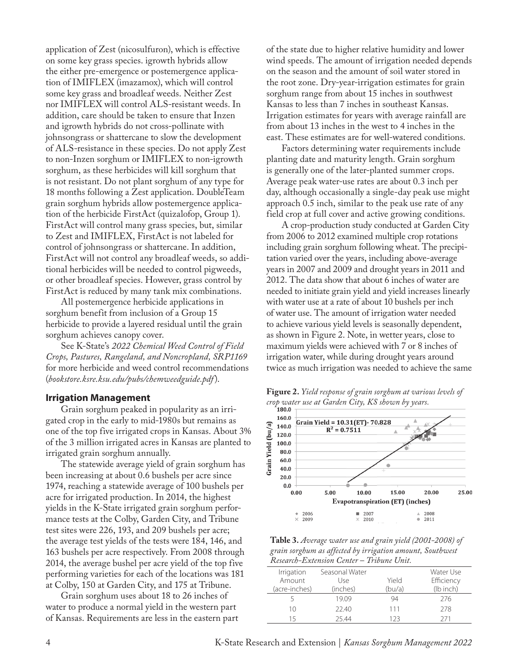application of Zest (nicosulfuron), which is effective on some key grass species. igrowth hybrids allow the either pre-emergence or postemergence application of IMIFLEX (imazamox), which will control some key grass and broadleaf weeds. Neither Zest nor IMIFLEX will control ALS-resistant weeds. In addition, care should be taken to ensure that Inzen and igrowth hybrids do not cross-pollinate with johnsongrass or shattercane to slow the development of ALS-resistance in these species. Do not apply Zest to non-Inzen sorghum or IMIFLEX to non-igrowth sorghum, as these herbicides will kill sorghum that is not resistant. Do not plant sorghum of any type for 18 months following a Zest application. DoubleTeam grain sorghum hybrids allow postemergence application of the herbicide FirstAct (quizalofop, Group 1). FirstAct will control many grass species, but, similar to Zest and IMIFLEX, FirstAct is not labeled for control of johnsongrass or shattercane. In addition, FirstAct will not control any broadleaf weeds, so additional herbicides will be needed to control pigweeds, or other broadleaf species. However, grass control by FirstAct is reduced by many tank mix combinations.

All postemergence herbicide applications in sorghum benefit from inclusion of a Group 15 herbicide to provide a layered residual until the grain sorghum achieves canopy cover.

See K-State's *2022 Chemical Weed Control of Field Crops, Pastures, Rangeland, and Noncropland, SRP1169* for more herbicide and weed control recommendations (*[bookstore.ksre.ksu.edu/pubs/chemweedguide.pdf](http://bookstore.ksre.ksu.edu/pubs/chemweedguide.pdf)*).

#### **Irrigation Management**

Grain sorghum peaked in popularity as an irrigated crop in the early to mid-1980s but remains as one of the top five irrigated crops in Kansas. About 3% of the 3 million irrigated acres in Kansas are planted to irrigated grain sorghum annually.

The statewide average yield of grain sorghum has been increasing at about 0.6 bushels per acre since 1974, reaching a statewide average of 100 bushels per acre for irrigated production. In 2014, the highest yields in the K-State irrigated grain sorghum performance tests at the Colby, Garden City, and Tribune test sites were 226, 193, and 209 bushels per acre; the average test yields of the tests were 184, 146, and 163 bushels per acre respectively. From 2008 through 2014, the average bushel per acre yield of the top five performing varieties for each of the locations was 181 at Colby, 150 at Garden City, and 175 at Tribune.

Grain sorghum uses about 18 to 26 inches of water to produce a normal yield in the western part of Kansas. Requirements are less in the eastern part of the state due to higher relative humidity and lower wind speeds. The amount of irrigation needed depends on the season and the amount of soil water stored in the root zone. Dry-year-irrigation estimates for grain sorghum range from about 15 inches in southwest Kansas to less than 7 inches in southeast Kansas. Irrigation estimates for years with average rainfall are from about 13 inches in the west to 4 inches in the east. These estimates are for well-watered conditions.

Factors determining water requirements include planting date and maturity length. Grain sorghum is generally one of the later-planted summer crops. Average peak water-use rates are about 0.3 inch per day, although occasionally a single-day peak use might approach 0.5 inch, similar to the peak use rate of any field crop at full cover and active growing conditions.

A crop-production study conducted at Garden City from 2006 to 2012 examined multiple crop rotations including grain sorghum following wheat. The precipitation varied over the years, including above-average years in 2007 and 2009 and drought years in 2011 and 2012. The data show that about 6 inches of water are needed to initiate grain yield and yield increases linearly with water use at a rate of about 10 bushels per inch of water use. The amount of irrigation water needed to achieve various yield levels is seasonally dependent, as shown in Figure 2. Note, in wetter years, close to maximum yields were achieved with 7 or 8 inches of irrigation water, while during drought years around twice as much irrigation was needed to achieve the same

**Figure 2.** *Yield response of grain sorghum at various levels of crop water use at Garden City, KS shown by years.*



**Table 3.** *Average water use and grain yield (2001-2008) of grain sorghum as affected by irrigation amount, Southwest Research-Extension Center – Tribune Unit.*

| Irrigation<br>Amount | Seasonal Water<br>Use | Yield  | Water Use<br>Efficiency |
|----------------------|-----------------------|--------|-------------------------|
| (acre-inches)        | (inches)              | (bu/a) | (lb inch)               |
|                      | 19.09                 | 94     | 276                     |
| 10                   | 22.40                 | 111    | 278                     |
|                      | 25.44                 | 123    | 771                     |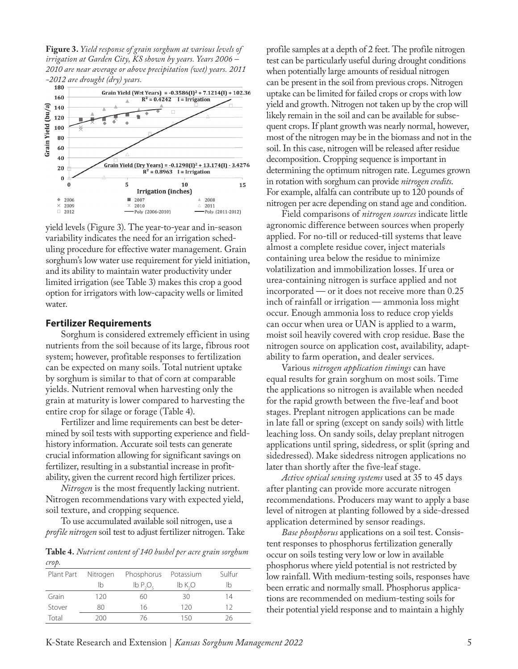**Figure 3.** *Yield response of grain sorghum at various levels of irrigation at Garden City, KS shown by years. Years 2006 – 2010 are near average or above precipitation (wet) years. 2011 -2012 are drought (dry) years.* 



yield levels (Figure 3). The year-to-year and in-season variability indicates the need for an irrigation scheduling procedure for effective water management. Grain sorghum's low water use requirement for yield initiation, and its ability to maintain water productivity under limited irrigation (see Table 3) makes this crop a good option for irrigators with low-capacity wells or limited water.

#### **Fertilizer Requirements**

Sorghum is considered extremely efficient in using nutrients from the soil because of its large, fibrous root system; however, profitable responses to fertilization can be expected on many soils. Total nutrient uptake by sorghum is similar to that of corn at comparable yields. Nutrient removal when harvesting only the grain at maturity is lower compared to harvesting the entire crop for silage or forage (Table 4).

Fertilizer and lime requirements can best be determined by soil tests with supporting experience and fieldhistory information. Accurate soil tests can generate crucial information allowing for significant savings on fertilizer, resulting in a substantial increase in profitability, given the current record high fertilizer prices.

*Nitrogen* is the most frequently lacking nutrient. Nitrogen recommendations vary with expected yield, soil texture, and cropping sequence.

To use accumulated available soil nitrogen, use a *profile nitrogen* soil test to adjust fertilizer nitrogen. Take

**Table 4.** *Nutrient content of 140 bushel per acre grain sorghum crop.*

|        | Plant Part Nitrogen | Phosphorus Potassium |          | Sulfur |
|--------|---------------------|----------------------|----------|--------|
|        | Ib                  | lb P. O.             | $lb$ K,O | Ib     |
| Grain  | 120                 | 60                   | 30       | 14     |
| Stover | 80                  | 16                   | 120      | 12     |
| Total  | 200                 | 76                   | 150      | 26     |

profile samples at a depth of 2 feet. The profile nitrogen test can be particularly useful during drought conditions when potentially large amounts of residual nitrogen can be present in the soil from previous crops. Nitrogen uptake can be limited for failed crops or crops with low yield and growth. Nitrogen not taken up by the crop will likely remain in the soil and can be available for subsequent crops. If plant growth was nearly normal, however, most of the nitrogen may be in the biomass and not in the soil. In this case, nitrogen will be released after residue decomposition. Cropping sequence is important in determining the optimum nitrogen rate. Legumes grown in rotation with sorghum can provide *nitrogen credits*. For example, alfalfa can contribute up to 120 pounds of nitrogen per acre depending on stand age and condition.

Field comparisons of *nitrogen sources* indicate little agronomic difference between sources when properly applied. For no-till or reduced-till systems that leave almost a complete residue cover, inject materials containing urea below the residue to minimize volatilization and immobilization losses. If urea or urea-containing nitrogen is surface applied and not incorporated — or it does not receive more than 0.25 inch of rainfall or irrigation — ammonia loss might occur. Enough ammonia loss to reduce crop yields can occur when urea or UAN is applied to a warm, moist soil heavily covered with crop residue. Base the nitrogen source on application cost, availability, adaptability to farm operation, and dealer services.

Various *nitrogen application timings* can have equal results for grain sorghum on most soils. Time the applications so nitrogen is available when needed for the rapid growth between the five-leaf and boot stages. Preplant nitrogen applications can be made in late fall or spring (except on sandy soils) with little leaching loss. On sandy soils, delay preplant nitrogen applications until spring, sidedress, or split (spring and sidedressed). Make sidedress nitrogen applications no later than shortly after the five-leaf stage.

*Active optical sensing systems* used at 35 to 45 days after planting can provide more accurate nitrogen recommendations. Producers may want to apply a base level of nitrogen at planting followed by a side-dressed application determined by sensor readings.

*Base phosphorus* applications on a soil test. Consistent responses to phosphorus fertilization generally occur on soils testing very low or low in available phosphorus where yield potential is not restricted by low rainfall. With medium-testing soils, responses have been erratic and normally small. Phosphorus applications are recommended on medium-testing soils for their potential yield response and to maintain a highly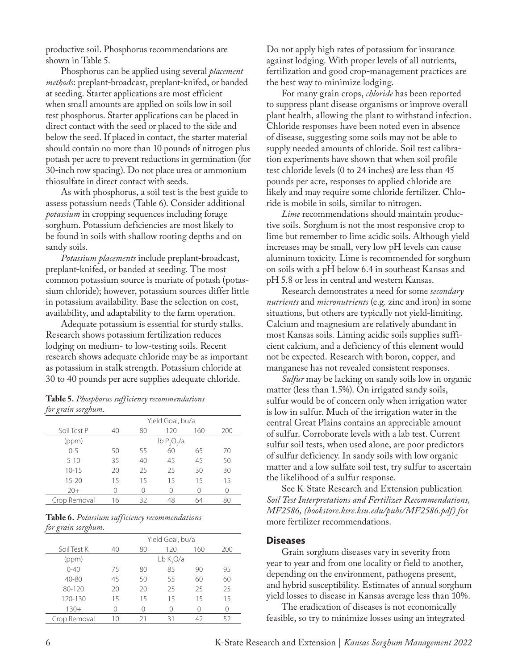productive soil. Phosphorus recommendations are shown in Table 5.

Phosphorus can be applied using several *placement methods*: preplant-broadcast, preplant-knifed, or banded at seeding. Starter applications are most efficient when small amounts are applied on soils low in soil test phosphorus. Starter applications can be placed in direct contact with the seed or placed to the side and below the seed. If placed in contact, the starter material should contain no more than 10 pounds of nitrogen plus potash per acre to prevent reductions in germination (for 30-inch row spacing). Do not place urea or ammonium thiosulfate in direct contact with seeds.

As with phosphorus, a soil test is the best guide to assess potassium needs (Table 6). Consider additional *potassium* in cropping sequences including forage sorghum. Potassium deficiencies are most likely to be found in soils with shallow rooting depths and on sandy soils.

*Potassium placements* include preplant-broadcast, preplant-knifed, or banded at seeding. The most common potassium source is muriate of potash (potassium chloride); however, potassium sources differ little in potassium availability. Base the selection on cost, availability, and adaptability to the farm operation.

Adequate potassium is essential for sturdy stalks. Research shows potassium fertilization reduces lodging on medium- to low-testing soils. Recent research shows adequate chloride may be as important as potassium in stalk strength. Potassium chloride at 30 to 40 pounds per acre supplies adequate chloride.

|                    | Table 5. Phosphorus sufficiency recommendations |
|--------------------|-------------------------------------------------|
| for grain sorghum. |                                                 |

| ه<br>$\cdots$ |    |    |                                                    |     |     |
|---------------|----|----|----------------------------------------------------|-----|-----|
|               |    |    | Yield Goal, bu/a                                   |     |     |
| Soil Test P   | 40 | 80 | 120                                                | 160 | 200 |
| (ppm)         |    |    | $\mathsf{lb}\,\mathsf{P}_2\mathsf{O}_5/\mathsf{a}$ |     |     |
| $0 - 5$       | 50 | 55 | 60                                                 | 65  | 70  |
| $5 - 10$      | 35 | 40 | 45                                                 | 45  | 50  |
| $10 - 15$     | 20 | 25 | 25                                                 | 30  | 30  |
| $15 - 20$     | 15 | 15 | 15                                                 | 15  | 15  |
| $20+$         |    | Ω  | Ω                                                  | Λ   | Ω   |
| Crop Removal  | 16 | 32 | 48                                                 | 64  | 80  |

|                    |  | Table 6. Potassium sufficiency recommendations |
|--------------------|--|------------------------------------------------|
| for grain sorghum. |  |                                                |

| J | $\cdot$<br>$\cdot$ |    |    |                  |     |     |
|---|--------------------|----|----|------------------|-----|-----|
|   |                    |    |    | Yield Goal, bu/a |     |     |
|   | Soil Test K        | 40 | 80 | 120              | 160 | 200 |
|   | (ppm)              |    |    | Lb K,O/a         |     |     |
|   | $0 - 40$           | 75 | 80 | 85               | 90  | 95  |
|   | 40-80              | 45 | 50 | 55               | 60  | 60  |
|   | 80-120             | 20 | 20 | 25               | 25  | 25  |
|   | 120-130            | 15 | 15 | 15               | 15  | 15  |
|   | $130+$             |    |    |                  |     |     |
|   | Crop Removal       | 10 | 21 | 31               | 47  | 52  |

Do not apply high rates of potassium for insurance against lodging. With proper levels of all nutrients, fertilization and good crop-management practices are the best way to minimize lodging.

For many grain crops, *chloride* has been reported to suppress plant disease organisms or improve overall plant health, allowing the plant to withstand infection. Chloride responses have been noted even in absence of disease, suggesting some soils may not be able to supply needed amounts of chloride. Soil test calibration experiments have shown that when soil profile test chloride levels (0 to 24 inches) are less than 45 pounds per acre, responses to applied chloride are likely and may require some chloride fertilizer. Chloride is mobile in soils, similar to nitrogen.

*Lime* recommendations should maintain productive soils. Sorghum is not the most responsive crop to lime but remember to lime acidic soils. Although yield increases may be small, very low pH levels can cause aluminum toxicity. Lime is recommended for sorghum on soils with a pH below 6.4 in southeast Kansas and pH 5.8 or less in central and western Kansas.

Research demonstrates a need for some *secondary nutrients* and *micronutrients* (e.g. zinc and iron) in some situations, but others are typically not yield-limiting. Calcium and magnesium are relatively abundant in most Kansas soils. Liming acidic soils supplies sufficient calcium, and a deficiency of this element would not be expected. Research with boron, copper, and manganese has not revealed consistent responses.

*Sulfur* may be lacking on sandy soils low in organic matter (less than 1.5%). On irrigated sandy soils, sulfur would be of concern only when irrigation water is low in sulfur. Much of the irrigation water in the central Great Plains contains an appreciable amount of sulfur. Corroborate levels with a lab test. Current sulfur soil tests, when used alone, are poor predictors of sulfur deficiency. In sandy soils with low organic matter and a low sulfate soil test, try sulfur to ascertain the likelihood of a sulfur response.

See K-State Research and Extension publication *Soil Test Interpretations and Fertilizer Recommendations, MF2586, [\(bookstore.ksre.ksu.edu/pubs/MF2586.pdf\)](https://bookstore.ksre.ksu.edu/pubs/MF2586.pdf) f*or more fertilizer recommendations.

#### **Diseases**

Grain sorghum diseases vary in severity from year to year and from one locality or field to another, depending on the environment, pathogens present, and hybrid susceptibility. Estimates of annual sorghum yield losses to disease in Kansas average less than 10%.

The eradication of diseases is not economically feasible, so try to minimize losses using an integrated

6 K-State Research and Extension | *Kansas Sorghum Management 2022*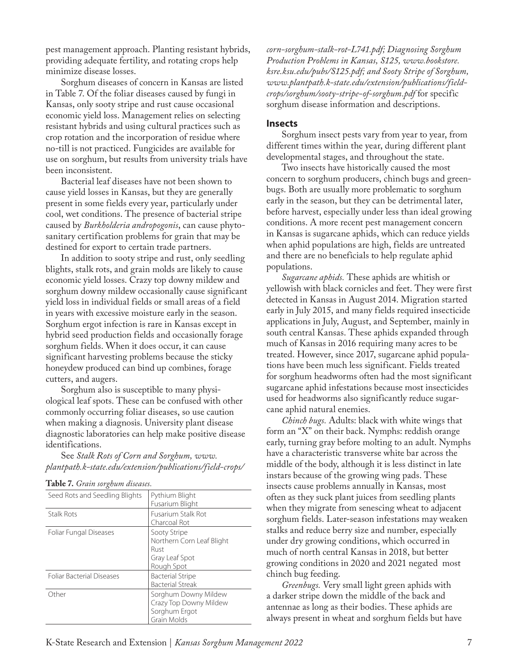pest management approach. Planting resistant hybrids, providing adequate fertility, and rotating crops help minimize disease losses.

Sorghum diseases of concern in Kansas are listed in Table 7. Of the foliar diseases caused by fungi in Kansas, only sooty stripe and rust cause occasional economic yield loss. Management relies on selecting resistant hybrids and using cultural practices such as crop rotation and the incorporation of residue where no-till is not practiced. Fungicides are available for use on sorghum, but results from university trials have been inconsistent.

Bacterial leaf diseases have not been shown to cause yield losses in Kansas, but they are generally present in some fields every year, particularly under cool, wet conditions. The presence of bacterial stripe caused by *Burkholderia andropogonis*, can cause phytosanitary certification problems for grain that may be destined for export to certain trade partners.

In addition to sooty stripe and rust, only seedling blights, stalk rots, and grain molds are likely to cause economic yield losses. Crazy top downy mildew and sorghum downy mildew occasionally cause significant yield loss in individual fields or small areas of a field in years with excessive moisture early in the season. Sorghum ergot infection is rare in Kansas except in hybrid seed production fields and occasionally forage sorghum fields. When it does occur, it can cause significant harvesting problems because the sticky honeydew produced can bind up combines, forage cutters, and augers.

Sorghum also is susceptible to many physiological leaf spots. These can be confused with other commonly occurring foliar diseases, so use caution when making a diagnosis. University plant disease diagnostic laboratories can help make positive disease identifications.

See *Stalk Rots of Corn and Sorghum, [www.](https://www.plantpath.k-state.edu/extension/publications/field-crops/corn-sorghum-stalk-rot-L741.pdf) [plantpath.k-state.edu/extension/publications/field-crops/](https://www.plantpath.k-state.edu/extension/publications/field-crops/corn-sorghum-stalk-rot-L741.pdf)*

|  |  |  |  |  |  |  | <b>Table 7.</b> Grain sorghum diseases. |  |  |
|--|--|--|--|--|--|--|-----------------------------------------|--|--|
|--|--|--|--|--|--|--|-----------------------------------------|--|--|

| Seed Rots and Seedling Blights   | Pythium Blight<br>Fusarium Blight                                                 |
|----------------------------------|-----------------------------------------------------------------------------------|
| Stalk Rots                       | <b>Fusarium Stalk Rot</b><br>Charcoal Rot                                         |
| Foliar Fungal Diseases           | Sooty Stripe<br>Northern Corn Leaf Blight<br>Rust<br>Gray Leaf Spot<br>Rough Spot |
| <b>Foliar Bacterial Diseases</b> | <b>Bacterial Stripe</b><br><b>Bacterial Streak</b>                                |
| Other                            | Sorghum Downy Mildew<br>Crazy Top Downy Mildew<br>Sorghum Ergot<br>Grain Molds    |

*[corn-sorghum-stalk-rot-L741.pdf;](https://www.plantpath.k-state.edu/extension/publications/field-crops/corn-sorghum-stalk-rot-L741.pdf) Diagnosing Sorghum Production Problems in Kansas, S125, [www.bookstore.](http://www.bookstore.ksre.ksu.edu/pubs/S125.pdf) [ksre.ksu.edu/pubs/S125.pdf;](http://www.bookstore.ksre.ksu.edu/pubs/S125.pdf) and Sooty Stripe of Sorghum, [www.plantpath.k-state.edu/extension/publications/field](http://www.plantpath.k-state.edu/extension/publications/field-crops/sorghum/sooty-stripe-of-sorghum.pdf)[crops/sorghum/sooty-stripe-of-sorghum.pdf](http://www.plantpath.k-state.edu/extension/publications/field-crops/sorghum/sooty-stripe-of-sorghum.pdf)* for specific sorghum disease information and descriptions.

#### **Insects**

Sorghum insect pests vary from year to year, from different times within the year, during different plant developmental stages, and throughout the state.

Two insects have historically caused the most concern to sorghum producers, chinch bugs and greenbugs. Both are usually more problematic to sorghum early in the season, but they can be detrimental later, before harvest, especially under less than ideal growing conditions. A more recent pest management concern in Kansas is sugarcane aphids, which can reduce yields when aphid populations are high, fields are untreated and there are no beneficials to help regulate aphid populations.

*Sugarcane aphids.* These aphids are whitish or yellowish with black cornicles and feet. They were first detected in Kansas in August 2014. Migration started early in July 2015, and many fields required insecticide applications in July, August, and September, mainly in south central Kansas. These aphids expanded through much of Kansas in 2016 requiring many acres to be treated. However, since 2017, sugarcane aphid populations have been much less significant. Fields treated for sorghum headworms often had the most significant sugarcane aphid infestations because most insecticides used for headworms also significantly reduce sugarcane aphid natural enemies.

*Chinch bugs.* Adults: black with white wings that form an "X" on their back. Nymphs: reddish orange early, turning gray before molting to an adult. Nymphs have a characteristic transverse white bar across the middle of the body, although it is less distinct in late instars because of the growing wing pads. These insects cause problems annually in Kansas, most often as they suck plant juices from seedling plants when they migrate from senescing wheat to adjacent sorghum fields. Later-season infestations may weaken stalks and reduce berry size and number, especially under dry growing conditions, which occurred in much of north central Kansas in 2018, but better growing conditions in 2020 and 2021 negated most chinch bug feeding.

*Greenbugs.* Very small light green aphids with a darker stripe down the middle of the back and antennae as long as their bodies. These aphids are always present in wheat and sorghum fields but have